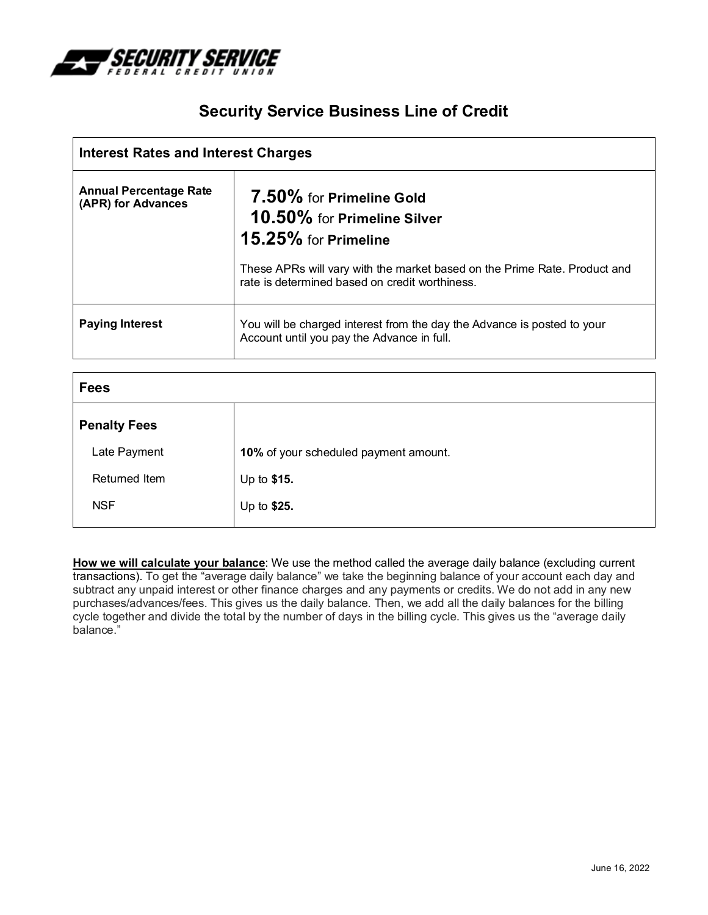

## **Security Service Business Line of Credit**

| <b>Interest Rates and Interest Charges</b>          |                                                                                                                             |
|-----------------------------------------------------|-----------------------------------------------------------------------------------------------------------------------------|
| <b>Annual Percentage Rate</b><br>(APR) for Advances | 7.50% for Primeline Gold<br>10.50% for Primeline Silver<br>15.25% for Primeline                                             |
|                                                     | These APRs will vary with the market based on the Prime Rate. Product and<br>rate is determined based on credit worthiness. |
| <b>Paying Interest</b>                              | You will be charged interest from the day the Advance is posted to your<br>Account until you pay the Advance in full.       |

| <b>Fees</b>                           |  |
|---------------------------------------|--|
|                                       |  |
| 10% of your scheduled payment amount. |  |
| Up to \$15.                           |  |
| Up to \$25.                           |  |
|                                       |  |

**How we will calculate your balance**: We use the method called the average daily balance (excluding current transactions). To get the "average daily balance" we take the beginning balance of your account each day and subtract any unpaid interest or other finance charges and any payments or credits. We do not add in any new purchases/advances/fees. This gives us the daily balance. Then, we add all the daily balances for the billing cycle together and divide the total by the number of days in the billing cycle. This gives us the "average daily balance."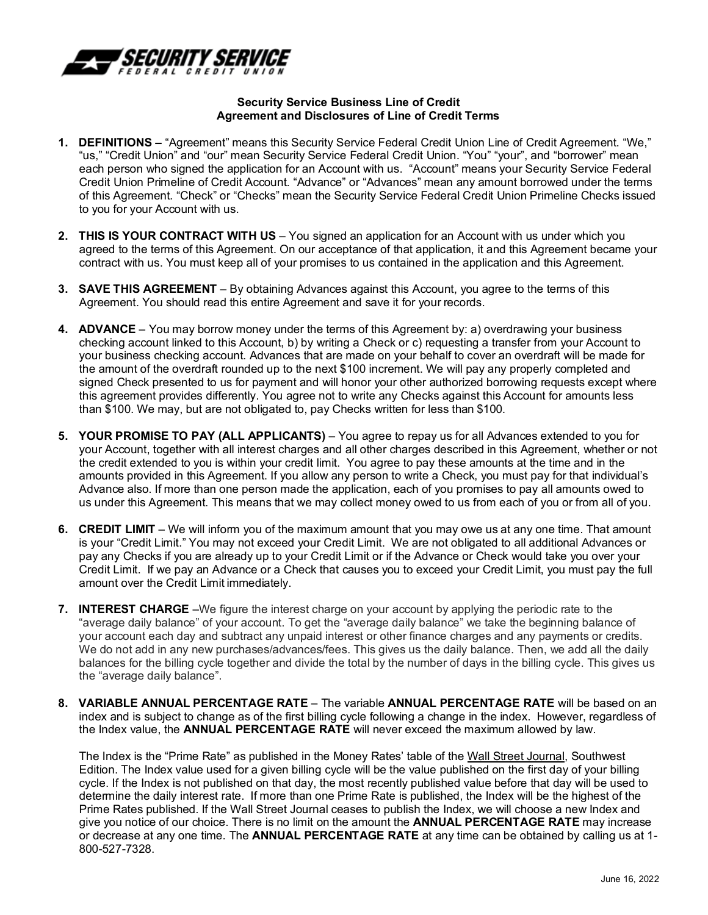

## **Security Service Business Line of Credit Agreement and Disclosures of Line of Credit Terms**

- **1. DEFINITIONS** "Agreement" means this Security Service Federal Credit Union Line of Credit Agreement. "We," "us," "Credit Union" and "our" mean Security Service Federal Credit Union. "You" "your", and "borrower" mean each person who signed the application for an Account with us. "Account" means your Security Service Federal Credit Union Primeline of Credit Account. "Advance" or "Advances" mean any amount borrowed under the terms of this Agreement. "Check" or "Checks" mean the Security Service Federal Credit Union Primeline Checks issued to you for your Account with us.
- **2. THIS IS YOUR CONTRACT WITH US**  You signed an application for an Account with us under which you agreed to the terms of this Agreement. On our acceptance of that application, it and this Agreement became your contract with us. You must keep all of your promises to us contained in the application and this Agreement.
- **3. SAVE THIS AGREEMENT**  By obtaining Advances against this Account, you agree to the terms of this Agreement. You should read this entire Agreement and save it for your records.
- **4. ADVANCE** You may borrow money under the terms of this Agreement by: a) overdrawing your business checking account linked to this Account, b) by writing a Check or c) requesting a transfer from your Account to your business checking account. Advances that are made on your behalf to cover an overdraft will be made for the amount of the overdraft rounded up to the next \$100 increment. We will pay any properly completed and signed Check presented to us for payment and will honor your other authorized borrowing requests except where this agreement provides differently. You agree not to write any Checks against this Account for amounts less than \$100. We may, but are not obligated to, pay Checks written for less than \$100.
- **5. YOUR PROMISE TO PAY (ALL APPLICANTS)** You agree to repay us for all Advances extended to you for your Account, together with all interest charges and all other charges described in this Agreement, whether or not the credit extended to you is within your credit limit. You agree to pay these amounts at the time and in the amounts provided in this Agreement. If you allow any person to write a Check, you must pay for that individual's Advance also. If more than one person made the application, each of you promises to pay all amounts owed to us under this Agreement. This means that we may collect money owed to us from each of you or from all of you.
- **6. CREDIT LIMIT**  We will inform you of the maximum amount that you may owe us at any one time. That amount is your "Credit Limit." You may not exceed your Credit Limit. We are not obligated to all additional Advances or pay any Checks if you are already up to your Credit Limit or if the Advance or Check would take you over your Credit Limit. If we pay an Advance or a Check that causes you to exceed your Credit Limit, you must pay the full amount over the Credit Limit immediately.
- **7. INTEREST CHARGE** –We figure the interest charge on your account by applying the periodic rate to the "average daily balance" of your account. To get the "average daily balance" we take the beginning balance of your account each day and subtract any unpaid interest or other finance charges and any payments or credits. We do not add in any new purchases/advances/fees. This gives us the daily balance. Then, we add all the daily balances for the billing cycle together and divide the total by the number of days in the billing cycle. This gives us the "average daily balance".
- **8. VARIABLE ANNUAL PERCENTAGE RATE**  The variable **ANNUAL PERCENTAGE RATE** will be based on an index and is subject to change as of the first billing cycle following a change in the index. However, regardless of the Index value, the **ANNUAL PERCENTAGE RATE** will never exceed the maximum allowed by law.

The Index is the "Prime Rate" as published in the Money Rates' table of the Wall Street Journal, Southwest Edition. The Index value used for a given billing cycle will be the value published on the first day of your billing cycle. If the Index is not published on that day, the most recently published value before that day will be used to determine the daily interest rate. If more than one Prime Rate is published, the Index will be the highest of the Prime Rates published. If the Wall Street Journal ceases to publish the Index, we will choose a new Index and give you notice of our choice. There is no limit on the amount the **ANNUAL PERCENTAGE RATE** may increase or decrease at any one time. The **ANNUAL PERCENTAGE RATE** at any time can be obtained by calling us at 1- 800-527-7328.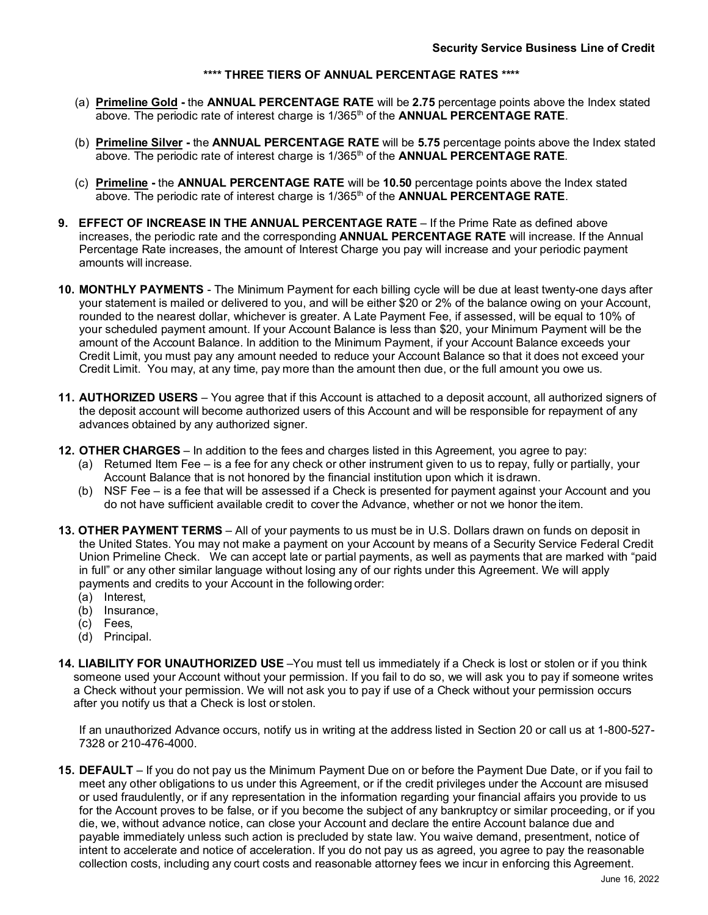## **\*\*\*\* THREE TIERS OF ANNUAL PERCENTAGE RATES \*\*\*\***

- (a) **Primeline Gold -** the **ANNUAL PERCENTAGE RATE** will be **2.75** percentage points above the Index stated above. The periodic rate of interest charge is 1/365th of the **ANNUAL PERCENTAGE RATE**.
- (b) **Primeline Silver** the **ANNUAL PERCENTAGE RATE** will be **5.75** percentage points above the Index stated above. The periodic rate of interest charge is 1/365th of the **ANNUAL PERCENTAGE RATE**.
- (c) **Primeline -** the **ANNUAL PERCENTAGE RATE** will be **10.50** percentage points above the Index stated above. The periodic rate of interest charge is 1/365<sup>th</sup> of the **ANNUAL PERCENTAGE RATE**.
- **9. EFFECT OF INCREASE IN THE ANNUAL PERCENTAGE RATE** If the Prime Rate as defined above increases, the periodic rate and the corresponding **ANNUAL PERCENTAGE RATE** will increase. If the Annual Percentage Rate increases, the amount of Interest Charge you pay will increase and your periodic payment amounts will increase.
- **10. MONTHLY PAYMENTS**  The Minimum Payment for each billing cycle will be due at least twenty-one days after your statement is mailed or delivered to you, and will be either \$20 or 2% of the balance owing on your Account, rounded to the nearest dollar, whichever is greater. A Late Payment Fee, if assessed, will be equal to 10% of your scheduled payment amount. If your Account Balance is less than \$20, your Minimum Payment will be the amount of the Account Balance. In addition to the Minimum Payment, if your Account Balance exceeds your Credit Limit, you must pay any amount needed to reduce your Account Balance so that it does not exceed your Credit Limit. You may, at any time, pay more than the amount then due, or the full amount you owe us.
- **11. AUTHORIZED USERS**  You agree that if this Account is attached to a deposit account, all authorized signers of the deposit account will become authorized users of this Account and will be responsible for repayment of any advances obtained by any authorized signer.
- **12. OTHER CHARGES** In addition to the fees and charges listed in this Agreement, you agree to pay:
	- (a) Returned Item Fee is a fee for any check or other instrument given to us to repay, fully or partially, your Account Balance that is not honored by the financial institution upon which it isdrawn.
	- (b) NSF Fee is a fee that will be assessed if a Check is presented for payment against your Account and you do not have sufficient available credit to cover the Advance, whether or not we honor the item.
- **13. OTHER PAYMENT TERMS**  All of your payments to us must be in U.S. Dollars drawn on funds on deposit in the United States. You may not make a payment on your Account by means of a Security Service Federal Credit Union Primeline Check. We can accept late or partial payments, as well as payments that are marked with "paid in full" or any other similar language without losing any of our rights under this Agreement. We will apply payments and credits to your Account in the following order:
	- (a) Interest,
	- (b) Insurance,
	- (c) Fees,
	- (d) Principal.
- **14. LIABILITY FOR UNAUTHORIZED USE** –You must tell us immediately if a Check is lost or stolen or if you think someone used your Account without your permission. If you fail to do so, we will ask you to pay if someone writes a Check without your permission. We will not ask you to pay if use of a Check without your permission occurs after you notify us that a Check is lost or stolen.

If an unauthorized Advance occurs, notify us in writing at the address listed in Section 20 or call us at 1-800-527- 7328 or 210-476-4000.

**15. DEFAULT** – If you do not pay us the Minimum Payment Due on or before the Payment Due Date, or if you fail to meet any other obligations to us under this Agreement, or if the credit privileges under the Account are misused or used fraudulently, or if any representation in the information regarding your financial affairs you provide to us for the Account proves to be false, or if you become the subject of any bankruptcy or similar proceeding, or if you die, we, without advance notice, can close your Account and declare the entire Account balance due and payable immediately unless such action is precluded by state law. You waive demand, presentment, notice of intent to accelerate and notice of acceleration. If you do not pay us as agreed, you agree to pay the reasonable collection costs, including any court costs and reasonable attorney fees we incur in enforcing this Agreement.